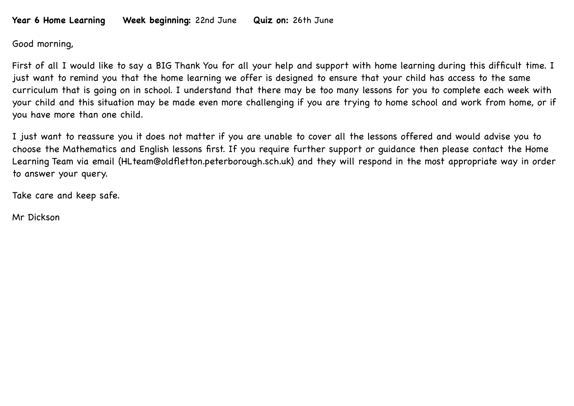## **Year 6 Home Learning Week beginning:** 22nd June **Quiz on:** 26th June

Good morning,

First of all I would like to say a BIG Thank You for all your help and support with home learning during this difficult time. I just want to remind you that the home learning we offer is designed to ensure that your child has access to the same curriculum that is going on in school. I understand that there may be too many lessons for you to complete each week with your child and this situation may be made even more challenging if you are trying to home school and work from home, or if you have more than one child.

I just want to reassure you it does not matter if you are unable to cover all the lessons offered and would advise you to choose the Mathematics and English lessons first. If you require further support or guidance then please contact the Home Learning Team via email (HLteam@oldfletton.peterborough.sch.uk) and they will respond in the most appropriate way in order to answer your query.

Take care and keep safe.

Mr Dickson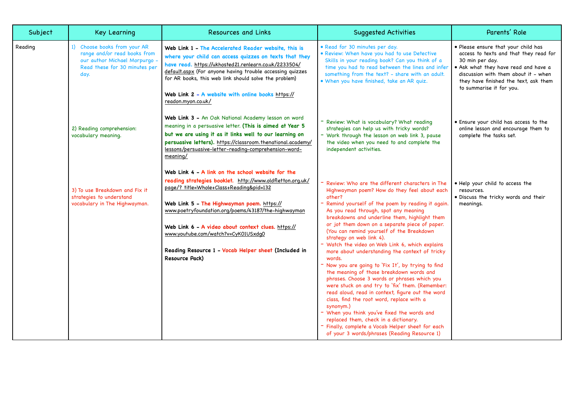| Subject | <b>Key Learning</b>                                                                                                                    | <b>Resources and Links</b>                                                                                                                                                                                                                                                                                                                                                                                                             | <b>Suggested Activities</b>                                                                                                                                                                                                                                                                                                                                                                                                                                                                                                                                                                                                                                                                                                                                                                                                                                                                                                                                                                                         | Parents' Role                                                                                                                                                                                                                                         |
|---------|----------------------------------------------------------------------------------------------------------------------------------------|----------------------------------------------------------------------------------------------------------------------------------------------------------------------------------------------------------------------------------------------------------------------------------------------------------------------------------------------------------------------------------------------------------------------------------------|---------------------------------------------------------------------------------------------------------------------------------------------------------------------------------------------------------------------------------------------------------------------------------------------------------------------------------------------------------------------------------------------------------------------------------------------------------------------------------------------------------------------------------------------------------------------------------------------------------------------------------------------------------------------------------------------------------------------------------------------------------------------------------------------------------------------------------------------------------------------------------------------------------------------------------------------------------------------------------------------------------------------|-------------------------------------------------------------------------------------------------------------------------------------------------------------------------------------------------------------------------------------------------------|
| Reading | 1) Choose books from your AR<br>range and/or read books from<br>our author Michael Morpurgo -<br>Read these for 30 minutes per<br>day. | Web Link 1 - The Accelerated Reader website, this is<br>where your child can access quizzes on texts that they<br>have read. https://ukhosted21.renlearn.co.uk/2233504/<br>default.aspx (For anyone having trouble accessing quizzes<br>for AR books, this web link should solve the problem)<br>Web Link 2 - A website with online books https://<br>readon.myon.co.uk/                                                               | · Read for 30 minutes per day.<br>· Review: When have you had to use Detective<br>Skills in your reading book? Can you think of a<br>time you had to read between the lines and infer<br>something from the text? - share with an adult.<br>. When you have finished, take an AR quiz.                                                                                                                                                                                                                                                                                                                                                                                                                                                                                                                                                                                                                                                                                                                              | • Please ensure that your child has<br>access to texts and that they read for<br>30 min per day.<br>. Ask what they have read and have a<br>discussion with them about it - when<br>they have finished the text, ask them<br>to summarise it for you. |
|         | 2) Reading comprehension:<br>vocabulary meaning.                                                                                       | Web Link 3 - An Oak National Academy lesson on word<br>meaning in a persuasive letter. (This is aimed at Year 5<br>but we are using it as it links well to our learning on<br>persuasive letters). https://classroom.thenational.academy/<br>lessons/persuasive-letter-reading-comprehension-word-<br>meaning/                                                                                                                         | - Review: What is vocabulary? What reading<br>strategies can help us with tricky words?<br>- Work through the lesson on web link 3, pause<br>the video when you need to and complete the<br>independent activities.                                                                                                                                                                                                                                                                                                                                                                                                                                                                                                                                                                                                                                                                                                                                                                                                 | • Ensure your child has access to the<br>online lesson and encourage them to<br>complete the tasks set.                                                                                                                                               |
|         | 3) To use Breakdown and Fix it<br>strategies to understand<br>vocabulary in The Highwayman.                                            | Web Link 4 - A link on the school website for the<br>reading strategies booklet. http://www.oldfletton.org.uk/<br>page/? title=Whole+Class+Reading&pid=132<br>Web Link 5 - The Highwayman poem. https://<br>www.poetryfoundation.org/poems/43187/the-highwayman<br>Web Link 6 - A video about context clues. https://<br>www.youtube.com/watch?v=CyK01USxdq0<br>Reading Resource 1 - Vocab Helper sheet (Included in<br>Resource Pack) | Review: Who are the different characters in The<br>Highwayman poem? How do they feel about each<br>other?<br>- Remind yourself of the poem by reading it again.<br>As you read through, spot any meaning<br>breakdowns and underline them, highlight them<br>or jot them down on a separate piece of paper.<br>(You can remind yourself of the Breakdown<br>strategy on web link 4).<br>- Watch the video on Web Link 6, which explains<br>more about understanding the context of tricky<br>words.<br>- Now you are going to 'Fix It', by trying to find<br>the meaning of those breakdown words and<br>phrases. Choose 3 words or phrases which you<br>were stuck on and try to 'fix' them. (Remember:<br>read aloud, read in context, figure out the word<br>class, find the root word, replace with a<br>synonym.)<br>- When you think you've fixed the words and<br>replaced them, check in a dictionary.<br>- Finally, complete a Vocab Helper sheet for each<br>of your 3 words/phrases (Reading Resource 1) | . Help your child to access the<br>resources.<br>. Discuss the tricky words and their<br>meanings.                                                                                                                                                    |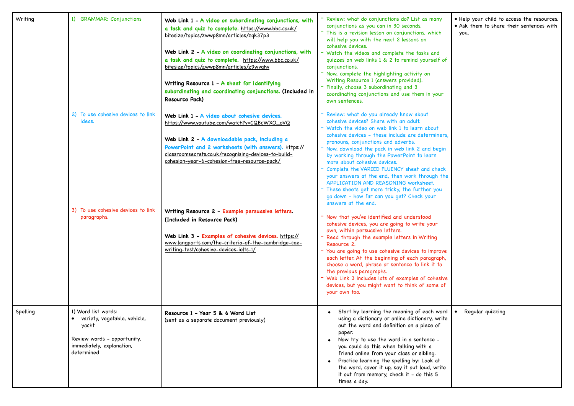| Writing  | 1) GRAMMAR: Conjunctions                                                                                                               | Web Link 1 - A video on subordinating conjunctions, with<br>a task and quiz to complete. https://www.bbc.co.uk/<br>bitesize/topics/zwwp8mn/articles/zqk37p3<br>Web Link 2 - A video on coordinating conjunctions, with<br>a task and quiz to complete. https://www.bbc.co.uk/<br>bitesize/topics/zwwp8mn/articles/z9wvqhv<br>Writing Resource 1 - A sheet for identifying<br>subordinating and coordinating conjunctions. (Included in<br>Resource Pack) | - Review: what do conjunctions do? List as many<br>conjunctions as you can in 30 seconds.<br>- This is a revision lesson on conjunctions, which<br>will help you with the next 2 lessons on<br>cohesive devices.<br>- Watch the videos and complete the tasks and<br>quizzes on web links 1 & 2 to remind yourself of<br>conjunctions.<br>- Now, complete the highlighting activity on<br>Writing Resource 1 (answers provided).<br>- Finally, choose 3 subordinating and 3<br>coordinating conjunctions and use them in your<br>own sentences. | . Help your child to access the resources.<br>• Ask them to share their sentences with<br>you. |
|----------|----------------------------------------------------------------------------------------------------------------------------------------|----------------------------------------------------------------------------------------------------------------------------------------------------------------------------------------------------------------------------------------------------------------------------------------------------------------------------------------------------------------------------------------------------------------------------------------------------------|-------------------------------------------------------------------------------------------------------------------------------------------------------------------------------------------------------------------------------------------------------------------------------------------------------------------------------------------------------------------------------------------------------------------------------------------------------------------------------------------------------------------------------------------------|------------------------------------------------------------------------------------------------|
|          | 2) To use cohesive devices to link<br>ideas.                                                                                           | Web Link 1 - A video about cohesive devices.<br>https://www.youtube.com/watch?v=CQBcWXO_oVQ<br>Web Link 2 - A downloadable pack, including a<br>PowerPoint and 2 worksheets (with answers). https://<br>classroomsecrets.co.uk/recognising-devices-to-build-                                                                                                                                                                                             | Review: what do you already know about<br>cohesive devices? Share with an adult.<br>Watch the video on web link 1 to learn about<br>cohesive devices - these include are determiners,<br>pronouns, conjunctions and adverbs.<br>Now, download the pack in web link 2 and begin                                                                                                                                                                                                                                                                  |                                                                                                |
|          |                                                                                                                                        | cohesion-year-6-cohesion-free-resource-pack/                                                                                                                                                                                                                                                                                                                                                                                                             | by working through the PowerPoint to learn<br>more about cohesive devices.<br>Complete the VARIED FLUENCY sheet and check<br>your answers at the end, then work through the<br>APPLICATION AND REASONING worksheet.<br>These sheets get more tricky, the further you<br>go down - how far can you get? Check your<br>answers at the end.                                                                                                                                                                                                        |                                                                                                |
|          | 3) To use cohesive devices to link<br>paragraphs.                                                                                      | Writing Resource 2 - Example persuasive letters.<br>(Included in Resource Pack)<br>Web Link 3 - Examples of cohesive devices. https://<br>www.langports.com/the-criteria-of-the-cambridge-cae-<br>writing-test/cohesive-devices-ielts-1/                                                                                                                                                                                                                 | Now that you've identified and understood<br>cohesive devices, you are going to write your<br>own, within persuasive letters.<br>Read through the example letters in Writing<br>Resource 2.<br>- You are going to use cohesive devices to improve<br>each letter. At the beginning of each paragraph,<br>choose a word, phrase or sentence to link it to<br>the previous paragraphs.<br>Web Link 3 includes lots of examples of cohesive<br>devices, but you might want to think of some of<br>your own too.                                    |                                                                                                |
| Spelling | 1) Word list words:<br>variety, vegetable, vehicle,<br>yacht<br>Review words - opportunity,<br>immediately, explanation,<br>determined | Resource 1 - Year 5 & 6 Word List<br>(sent as a separate document previously)                                                                                                                                                                                                                                                                                                                                                                            | • Start by learning the meaning of each word<br>using a dictionary or online dictionary, write<br>out the word and definition on a piece of<br>paper.<br>• Now try to use the word in a sentence -<br>you could do this when talking with a<br>friend online from your class or sibling.<br>Practice learning the spelling by: Look at<br>the word, cover it up, say it out loud, write<br>it out from memory, check it - do this 5<br>times a day.                                                                                             | Regular quizzing                                                                               |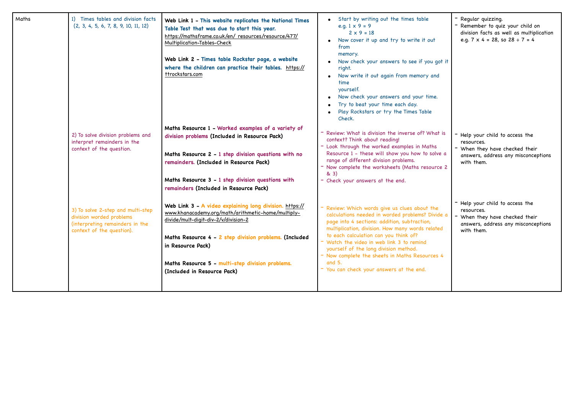| Maths | 1) Times tables and division facts<br>(2, 3, 4, 5, 6, 7, 8, 9, 10, 11, 12)                                                    | Web Link 1 - This website replicates the National Times<br>Table Test that was due to start this year.<br>https://mathsframe.co.uk/en/ resources/resource/477/<br>Multiplication-Tables-Check<br>Web Link 2 - Times table Rockstar page, a website<br>where the children can practice their tables. https://<br>ttrockstars.com | Start by writing out the times table<br>e.g. $1 \times 9 = 9$<br>$2 \times 9 = 18$<br>Now cover it up and try to write it out<br>from<br>memory.<br>Now check your answers to see if you got it<br>right.<br>Now write it out again from memory and<br>time<br>yourself.<br>Now check your answers and your time.<br>Try to beat your time each day.<br>Play Rockstars or try the Times Table<br>Check.                                      | - Regular quizzing.<br>- Remember to quiz your child on<br>division facts as well as multiplication<br>e.g. $7 \times 4 = 28$ , so $28 \div 7 = 4$ |
|-------|-------------------------------------------------------------------------------------------------------------------------------|---------------------------------------------------------------------------------------------------------------------------------------------------------------------------------------------------------------------------------------------------------------------------------------------------------------------------------|----------------------------------------------------------------------------------------------------------------------------------------------------------------------------------------------------------------------------------------------------------------------------------------------------------------------------------------------------------------------------------------------------------------------------------------------|----------------------------------------------------------------------------------------------------------------------------------------------------|
|       | 2) To solve division problems and<br>interpret remainders in the<br>context of the question.                                  | Maths Resource 1 - Worked examples of a variety of<br>division problems (Included in Resource Pack)<br>Maths Resource 2 - 1 step division questions with no<br>remainders. (Included in Resource Pack)<br>Maths Resource 3 - 1 step division questions with<br>remainders (Included in Resource Pack)                           | Review: What is division the inverse of? What is<br>context? Think about reading!<br>- Look through the worked examples in Maths<br>Resource 1 - these will show you how to solve a<br>range of different division problems.<br>- Now complete the worksheets (Maths resource 2<br>& 3)<br>- Check your answers at the end.                                                                                                                  | - Help your child to access the<br>resources.<br>- When they have checked their<br>answers, address any misconceptions<br>with them.               |
|       | 3) To solve 2-step and multi-step<br>division worded problems<br>(interpreting remainders in the<br>context of the question). | Web Link 3 - A video explaining long division. https://<br>www.khanacademy.org/math/arithmetic-home/multiply-<br>divide/mult-digit-div-2/v/division-2<br>Maths Resource 4 - 2 step division problems. (Included<br>in Resource Pack)<br>Maths Resource 5 - multi-step division problems.<br>(Included in Resource Pack)         | - Review: Which words give us clues about the<br>calculations needed in worded problems? Divide a<br>page into 4 sections: addition, subtraction,<br>multiplication, division. How many words related<br>to each calculation can you think of?<br>T Watch the video in web link 3 to remind<br>yourself of the long division method.<br>- Now complete the sheets in Maths Resources 4<br>and 5.<br>- You can check your answers at the end. | - Help your child to access the<br>resources.<br>- When they have checked their<br>answers, address any misconceptions<br>with them.               |